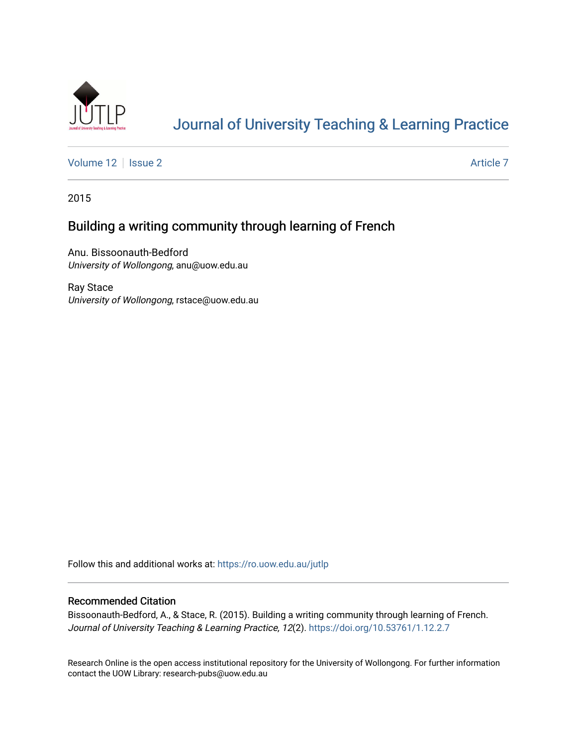

# [Journal of University Teaching & Learning Practice](https://ro.uow.edu.au/jutlp)

[Volume 12](https://ro.uow.edu.au/jutlp/vol12) | [Issue 2](https://ro.uow.edu.au/jutlp/vol12/iss2) Article 7

2015

## Building a writing community through learning of French

Anu. Bissoonauth-Bedford University of Wollongong, anu@uow.edu.au

Ray Stace University of Wollongong, rstace@uow.edu.au

Follow this and additional works at: [https://ro.uow.edu.au/jutlp](https://ro.uow.edu.au/jutlp?utm_source=ro.uow.edu.au%2Fjutlp%2Fvol12%2Fiss2%2F7&utm_medium=PDF&utm_campaign=PDFCoverPages) 

## Recommended Citation

Bissoonauth-Bedford, A., & Stace, R. (2015). Building a writing community through learning of French. Journal of University Teaching & Learning Practice, 12(2). <https://doi.org/10.53761/1.12.2.7>

Research Online is the open access institutional repository for the University of Wollongong. For further information contact the UOW Library: research-pubs@uow.edu.au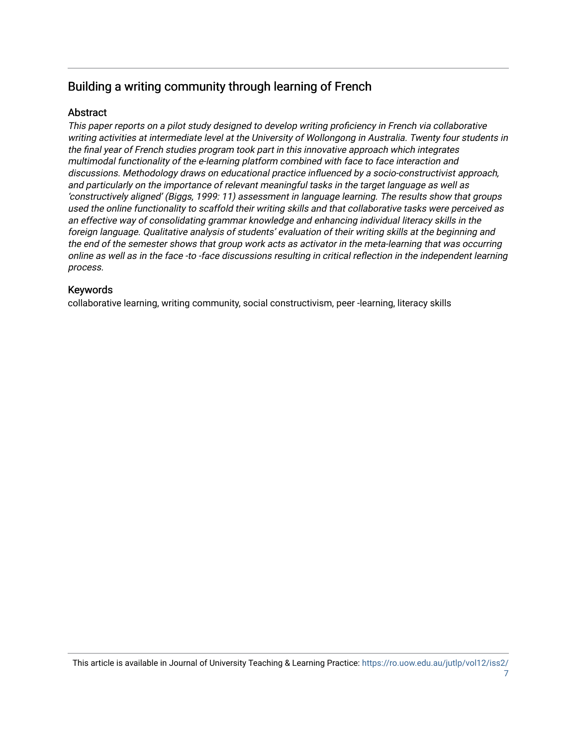## Building a writing community through learning of French

## Abstract

This paper reports on a pilot study designed to develop writing proficiency in French via collaborative writing activities at intermediate level at the University of Wollongong in Australia. Twenty four students in the final year of French studies program took part in this innovative approach which integrates multimodal functionality of the e-learning platform combined with face to face interaction and discussions. Methodology draws on educational practice influenced by a socio-constructivist approach, and particularly on the importance of relevant meaningful tasks in the target language as well as 'constructively aligned' (Biggs, 1999: 11) assessment in language learning. The results show that groups used the online functionality to scaffold their writing skills and that collaborative tasks were perceived as an effective way of consolidating grammar knowledge and enhancing individual literacy skills in the foreign language. Qualitative analysis of students' evaluation of their writing skills at the beginning and the end of the semester shows that group work acts as activator in the meta-learning that was occurring online as well as in the face -to -face discussions resulting in critical reflection in the independent learning process.

## Keywords

collaborative learning, writing community, social constructivism, peer -learning, literacy skills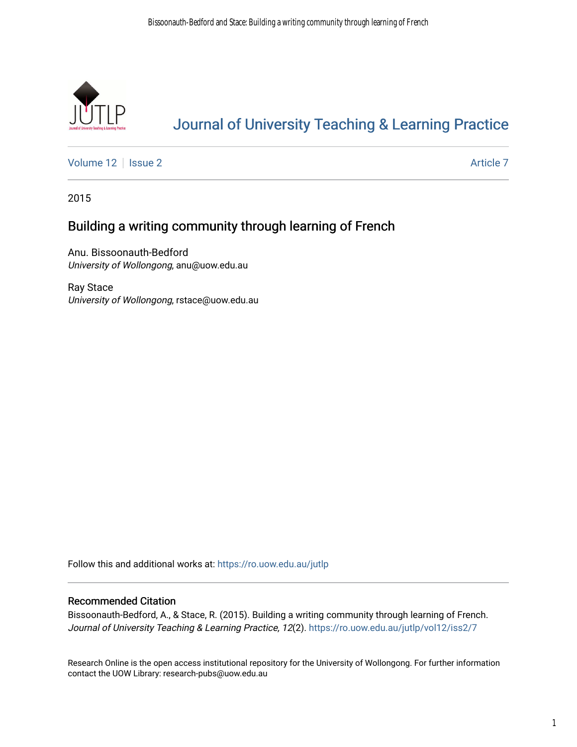

# [Journal of University Teaching & Learning Practice](https://ro.uow.edu.au/jutlp)

[Volume 12](https://ro.uow.edu.au/jutlp/vol12) | [Issue 2](https://ro.uow.edu.au/jutlp/vol12/iss2) Article 7

2015

## Building a writing community through learning of French

Anu. Bissoonauth-Bedford University of Wollongong, anu@uow.edu.au

Ray Stace University of Wollongong, rstace@uow.edu.au

Follow this and additional works at: [https://ro.uow.edu.au/jutlp](https://ro.uow.edu.au/jutlp?utm_source=ro.uow.edu.au%2Fjutlp%2Fvol12%2Fiss2%2F7&utm_medium=PDF&utm_campaign=PDFCoverPages) 

## Recommended Citation

Bissoonauth-Bedford, A., & Stace, R. (2015). Building a writing community through learning of French. Journal of University Teaching & Learning Practice, 12(2). [https://ro.uow.edu.au/jutlp/vol12/iss2/7](https://ro.uow.edu.au/jutlp/vol12/iss2/7?utm_source=ro.uow.edu.au%2Fjutlp%2Fvol12%2Fiss2%2F7&utm_medium=PDF&utm_campaign=PDFCoverPages) 

Research Online is the open access institutional repository for the University of Wollongong. For further information contact the UOW Library: research-pubs@uow.edu.au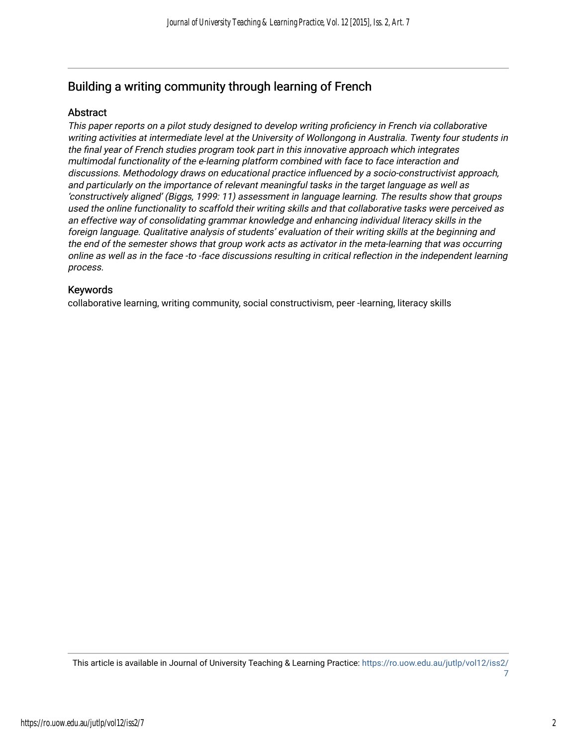## Building a writing community through learning of French

## Abstract

This paper reports on a pilot study designed to develop writing proficiency in French via collaborative writing activities at intermediate level at the University of Wollongong in Australia. Twenty four students in the final year of French studies program took part in this innovative approach which integrates multimodal functionality of the e-learning platform combined with face to face interaction and discussions. Methodology draws on educational practice influenced by a socio-constructivist approach, and particularly on the importance of relevant meaningful tasks in the target language as well as 'constructively aligned' (Biggs, 1999: 11) assessment in language learning. The results show that groups used the online functionality to scaffold their writing skills and that collaborative tasks were perceived as an effective way of consolidating grammar knowledge and enhancing individual literacy skills in the foreign language. Qualitative analysis of students' evaluation of their writing skills at the beginning and the end of the semester shows that group work acts as activator in the meta-learning that was occurring online as well as in the face -to -face discussions resulting in critical reflection in the independent learning process.

## Keywords

collaborative learning, writing community, social constructivism, peer -learning, literacy skills

This article is available in Journal of University Teaching & Learning Practice: [https://ro.uow.edu.au/jutlp/vol12/iss2/](https://ro.uow.edu.au/jutlp/vol12/iss2/7) [7](https://ro.uow.edu.au/jutlp/vol12/iss2/7)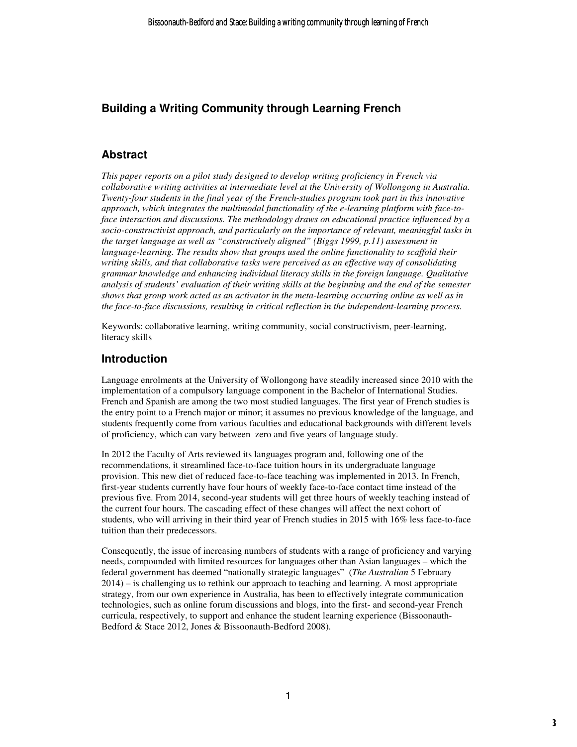## **Building a Writing Community through Learning French**

## **Abstract**

*This paper reports on a pilot study designed to develop writing proficiency in French via collaborative writing activities at intermediate level at the University of Wollongong in Australia. Twenty-four students in the final year of the French-studies program took part in this innovative approach, which integrates the multimodal functionality of the e-learning platform with face-toface interaction and discussions. The methodology draws on educational practice influenced by a socio-constructivist approach, and particularly on the importance of relevant, meaningful tasks in the target language as well as "constructively aligned" (Biggs 1999, p.11) assessment in language-learning. The results show that groups used the online functionality to scaffold their writing skills, and that collaborative tasks were perceived as an effective way of consolidating grammar knowledge and enhancing individual literacy skills in the foreign language. Qualitative analysis of students' evaluation of their writing skills at the beginning and the end of the semester shows that group work acted as an activator in the meta-learning occurring online as well as in the face-to-face discussions, resulting in critical reflection in the independent-learning process.* 

Keywords: collaborative learning, writing community, social constructivism, peer-learning, literacy skills

## **Introduction**

Language enrolments at the University of Wollongong have steadily increased since 2010 with the implementation of a compulsory language component in the Bachelor of International Studies. French and Spanish are among the two most studied languages. The first year of French studies is the entry point to a French major or minor; it assumes no previous knowledge of the language, and students frequently come from various faculties and educational backgrounds with different levels of proficiency, which can vary between zero and five years of language study.

In 2012 the Faculty of Arts reviewed its languages program and, following one of the recommendations, it streamlined face-to-face tuition hours in its undergraduate language provision. This new diet of reduced face-to-face teaching was implemented in 2013. In French, first-year students currently have four hours of weekly face-to-face contact time instead of the previous five. From 2014, second-year students will get three hours of weekly teaching instead of the current four hours. The cascading effect of these changes will affect the next cohort of students, who will arriving in their third year of French studies in 2015 with 16% less face-to-face tuition than their predecessors.

Consequently, the issue of increasing numbers of students with a range of proficiency and varying needs, compounded with limited resources for languages other than Asian languages – which the federal government has deemed "nationally strategic languages" (*The Australian* 5 February 2014) – is challenging us to rethink our approach to teaching and learning. A most appropriate strategy, from our own experience in Australia, has been to effectively integrate communication technologies, such as online forum discussions and blogs, into the first- and second-year French curricula, respectively, to support and enhance the student learning experience (Bissoonauth-Bedford & Stace 2012, Jones & Bissoonauth-Bedford 2008).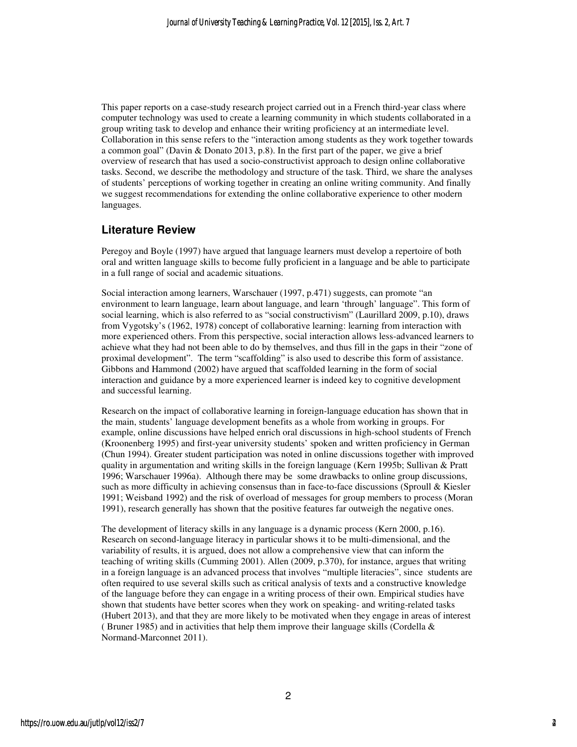This paper reports on a case-study research project carried out in a French third-year class where computer technology was used to create a learning community in which students collaborated in a group writing task to develop and enhance their writing proficiency at an intermediate level. Collaboration in this sense refers to the "interaction among students as they work together towards a common goal" (Davin & Donato 2013, p.8). In the first part of the paper, we give a brief overview of research that has used a socio-constructivist approach to design online collaborative tasks. Second, we describe the methodology and structure of the task. Third, we share the analyses of students' perceptions of working together in creating an online writing community. And finally we suggest recommendations for extending the online collaborative experience to other modern languages.

## **Literature Review**

Peregoy and Boyle (1997) have argued that language learners must develop a repertoire of both oral and written language skills to become fully proficient in a language and be able to participate in a full range of social and academic situations.

Social interaction among learners, Warschauer (1997, p.471) suggests, can promote "an environment to learn language, learn about language, and learn 'through' language". This form of social learning, which is also referred to as "social constructivism" (Laurillard 2009, p.10), draws from Vygotsky's (1962, 1978) concept of collaborative learning: learning from interaction with more experienced others. From this perspective, social interaction allows less-advanced learners to achieve what they had not been able to do by themselves, and thus fill in the gaps in their "zone of proximal development". The term "scaffolding" is also used to describe this form of assistance. Gibbons and Hammond (2002) have argued that scaffolded learning in the form of social interaction and guidance by a more experienced learner is indeed key to cognitive development and successful learning.

Research on the impact of collaborative learning in foreign-language education has shown that in the main, students' language development benefits as a whole from working in groups. For example, online discussions have helped enrich oral discussions in high-school students of French (Kroonenberg 1995) and first-year university students' spoken and written proficiency in German (Chun 1994). Greater student participation was noted in online discussions together with improved quality in argumentation and writing skills in the foreign language (Kern 1995b; Sullivan & Pratt 1996; Warschauer 1996a). Although there may be some drawbacks to online group discussions, such as more difficulty in achieving consensus than in face-to-face discussions (Sproull & Kiesler 1991; Weisband 1992) and the risk of overload of messages for group members to process (Moran 1991), research generally has shown that the positive features far outweigh the negative ones.

The development of literacy skills in any language is a dynamic process (Kern 2000, p.16). Research on second-language literacy in particular shows it to be multi-dimensional, and the variability of results, it is argued, does not allow a comprehensive view that can inform the teaching of writing skills (Cumming 2001). Allen (2009, p.370), for instance, argues that writing in a foreign language is an advanced process that involves "multiple literacies", since students are often required to use several skills such as critical analysis of texts and a constructive knowledge of the language before they can engage in a writing process of their own. Empirical studies have shown that students have better scores when they work on speaking- and writing-related tasks (Hubert 2013), and that they are more likely to be motivated when they engage in areas of interest ( Bruner 1985) and in activities that help them improve their language skills (Cordella & Normand-Marconnet 2011).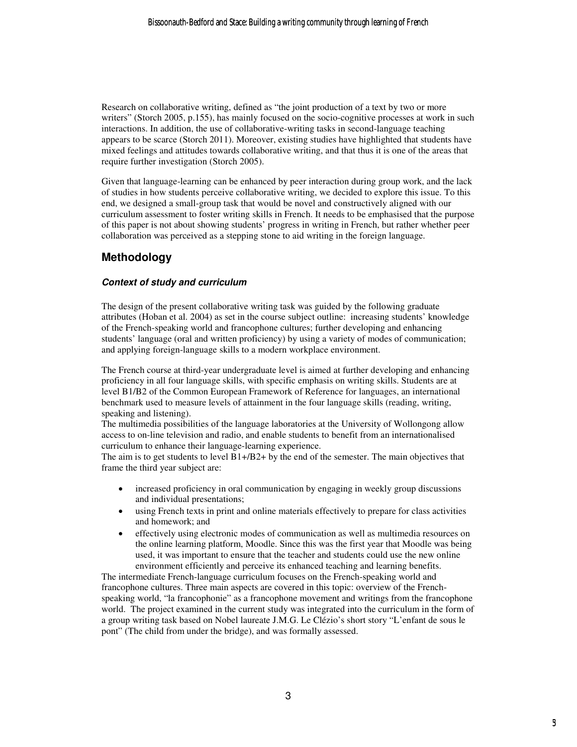Research on collaborative writing, defined as "the joint production of a text by two or more writers" (Storch 2005, p.155), has mainly focused on the socio-cognitive processes at work in such interactions. In addition, the use of collaborative-writing tasks in second-language teaching appears to be scarce (Storch 2011). Moreover, existing studies have highlighted that students have mixed feelings and attitudes towards collaborative writing, and that thus it is one of the areas that require further investigation (Storch 2005).

Given that language-learning can be enhanced by peer interaction during group work, and the lack of studies in how students perceive collaborative writing, we decided to explore this issue. To this end, we designed a small-group task that would be novel and constructively aligned with our curriculum assessment to foster writing skills in French. It needs to be emphasised that the purpose of this paper is not about showing students' progress in writing in French, but rather whether peer collaboration was perceived as a stepping stone to aid writing in the foreign language.

## **Methodology**

#### **Context of study and curriculum**

The design of the present collaborative writing task was guided by the following graduate attributes (Hoban et al. 2004) as set in the course subject outline: increasing students' knowledge of the French-speaking world and francophone cultures; further developing and enhancing students' language (oral and written proficiency) by using a variety of modes of communication; and applying foreign-language skills to a modern workplace environment.

The French course at third-year undergraduate level is aimed at further developing and enhancing proficiency in all four language skills, with specific emphasis on writing skills. Students are at level B1/B2 of the Common European Framework of Reference for languages, an international benchmark used to measure levels of attainment in the four language skills (reading, writing, speaking and listening).

The multimedia possibilities of the language laboratories at the University of Wollongong allow access to on-line television and radio, and enable students to benefit from an internationalised curriculum to enhance their language-learning experience.

The aim is to get students to level B1+/B2+ by the end of the semester. The main objectives that frame the third year subject are:

- increased proficiency in oral communication by engaging in weekly group discussions and individual presentations;
- using French texts in print and online materials effectively to prepare for class activities and homework; and
- effectively using electronic modes of communication as well as multimedia resources on the online learning platform, Moodle. Since this was the first year that Moodle was being used, it was important to ensure that the teacher and students could use the new online environment efficiently and perceive its enhanced teaching and learning benefits.

The intermediate French-language curriculum focuses on the French-speaking world and francophone cultures. Three main aspects are covered in this topic: overview of the Frenchspeaking world, "la francophonie" as a francophone movement and writings from the francophone world. The project examined in the current study was integrated into the curriculum in the form of a group writing task based on Nobel laureate J.M.G. Le Clézio's short story "L'enfant de sous le pont" (The child from under the bridge), and was formally assessed.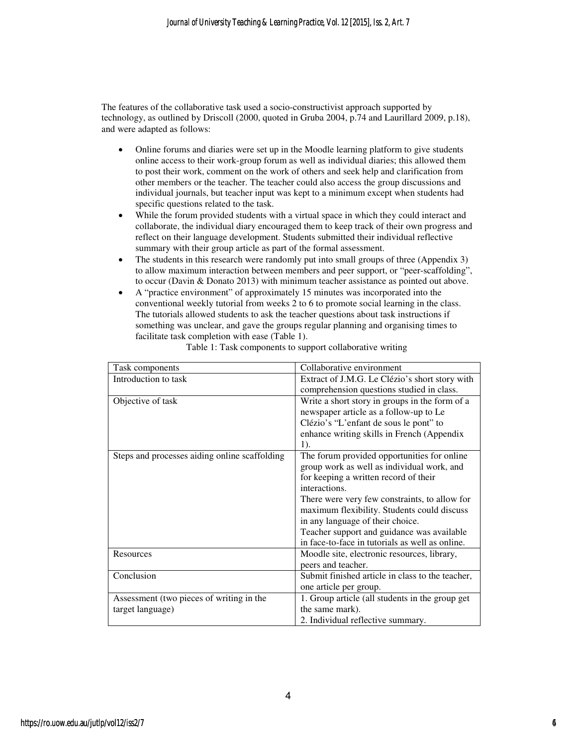The features of the collaborative task used a socio-constructivist approach supported by technology, as outlined by Driscoll (2000, quoted in Gruba 2004, p.74 and Laurillard 2009, p.18), and were adapted as follows:

- Online forums and diaries were set up in the Moodle learning platform to give students online access to their work-group forum as well as individual diaries; this allowed them to post their work, comment on the work of others and seek help and clarification from other members or the teacher. The teacher could also access the group discussions and individual journals, but teacher input was kept to a minimum except when students had specific questions related to the task.
- While the forum provided students with a virtual space in which they could interact and collaborate, the individual diary encouraged them to keep track of their own progress and reflect on their language development. Students submitted their individual reflective summary with their group article as part of the formal assessment.
- The students in this research were randomly put into small groups of three (Appendix 3) to allow maximum interaction between members and peer support, or "peer-scaffolding", to occur (Davin & Donato 2013) with minimum teacher assistance as pointed out above.
- A "practice environment" of approximately 15 minutes was incorporated into the conventional weekly tutorial from weeks 2 to 6 to promote social learning in the class. The tutorials allowed students to ask the teacher questions about task instructions if something was unclear, and gave the groups regular planning and organising times to facilitate task completion with ease (Table 1).

| Task components                               | Collaborative environment                        |
|-----------------------------------------------|--------------------------------------------------|
| Introduction to task                          | Extract of J.M.G. Le Clézio's short story with   |
|                                               | comprehension questions studied in class.        |
| Objective of task                             | Write a short story in groups in the form of a   |
|                                               | newspaper article as a follow-up to Le           |
|                                               | Clézio's "L'enfant de sous le pont" to           |
|                                               | enhance writing skills in French (Appendix       |
|                                               | 1).                                              |
| Steps and processes aiding online scaffolding | The forum provided opportunities for online      |
|                                               | group work as well as individual work, and       |
|                                               | for keeping a written record of their            |
|                                               | interactions.                                    |
|                                               | There were very few constraints, to allow for    |
|                                               | maximum flexibility. Students could discuss      |
|                                               | in any language of their choice.                 |
|                                               | Teacher support and guidance was available       |
|                                               | in face-to-face in tutorials as well as online.  |
| Resources                                     | Moodle site, electronic resources, library,      |
|                                               | peers and teacher.                               |
| Conclusion                                    | Submit finished article in class to the teacher, |
|                                               | one article per group.                           |
| Assessment (two pieces of writing in the      | 1. Group article (all students in the group get  |
| target language)                              | the same mark).                                  |
|                                               | 2. Individual reflective summary.                |

Table 1: Task components to support collaborative writing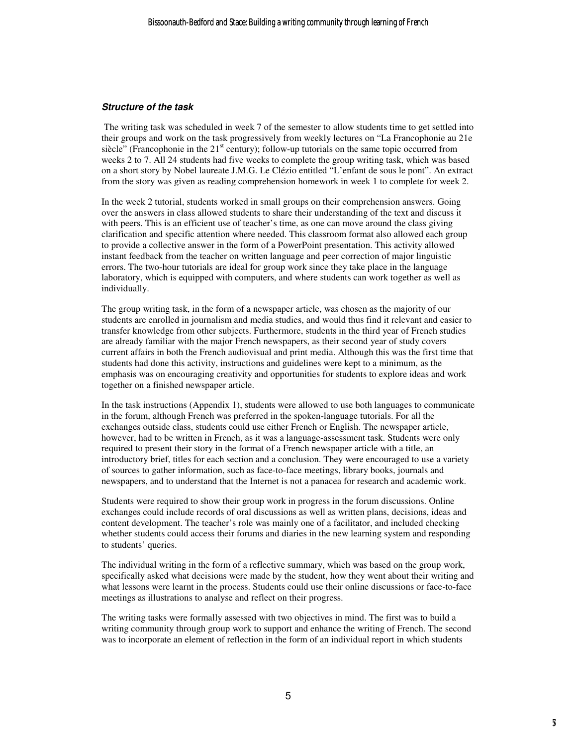#### **Structure of the task**

 The writing task was scheduled in week 7 of the semester to allow students time to get settled into their groups and work on the task progressively from weekly lectures on "La Francophonie au 21e siècle" (Francophonie in the  $21<sup>st</sup>$  century); follow-up tutorials on the same topic occurred from weeks 2 to 7. All 24 students had five weeks to complete the group writing task, which was based on a short story by Nobel laureate J.M.G. Le Clézio entitled "L'enfant de sous le pont". An extract from the story was given as reading comprehension homework in week 1 to complete for week 2.

In the week 2 tutorial, students worked in small groups on their comprehension answers. Going over the answers in class allowed students to share their understanding of the text and discuss it with peers. This is an efficient use of teacher's time, as one can move around the class giving clarification and specific attention where needed. This classroom format also allowed each group to provide a collective answer in the form of a PowerPoint presentation. This activity allowed instant feedback from the teacher on written language and peer correction of major linguistic errors. The two-hour tutorials are ideal for group work since they take place in the language laboratory, which is equipped with computers, and where students can work together as well as individually.

The group writing task, in the form of a newspaper article, was chosen as the majority of our students are enrolled in journalism and media studies, and would thus find it relevant and easier to transfer knowledge from other subjects. Furthermore, students in the third year of French studies are already familiar with the major French newspapers, as their second year of study covers current affairs in both the French audiovisual and print media. Although this was the first time that students had done this activity, instructions and guidelines were kept to a minimum, as the emphasis was on encouraging creativity and opportunities for students to explore ideas and work together on a finished newspaper article.

In the task instructions (Appendix 1), students were allowed to use both languages to communicate in the forum, although French was preferred in the spoken-language tutorials. For all the exchanges outside class, students could use either French or English. The newspaper article, however, had to be written in French, as it was a language-assessment task. Students were only required to present their story in the format of a French newspaper article with a title, an introductory brief, titles for each section and a conclusion. They were encouraged to use a variety of sources to gather information, such as face-to-face meetings, library books, journals and newspapers, and to understand that the Internet is not a panacea for research and academic work.

Students were required to show their group work in progress in the forum discussions. Online exchanges could include records of oral discussions as well as written plans, decisions, ideas and content development. The teacher's role was mainly one of a facilitator, and included checking whether students could access their forums and diaries in the new learning system and responding to students' queries.

The individual writing in the form of a reflective summary, which was based on the group work, specifically asked what decisions were made by the student, how they went about their writing and what lessons were learnt in the process. Students could use their online discussions or face-to-face meetings as illustrations to analyse and reflect on their progress.

The writing tasks were formally assessed with two objectives in mind. The first was to build a writing community through group work to support and enhance the writing of French. The second was to incorporate an element of reflection in the form of an individual report in which students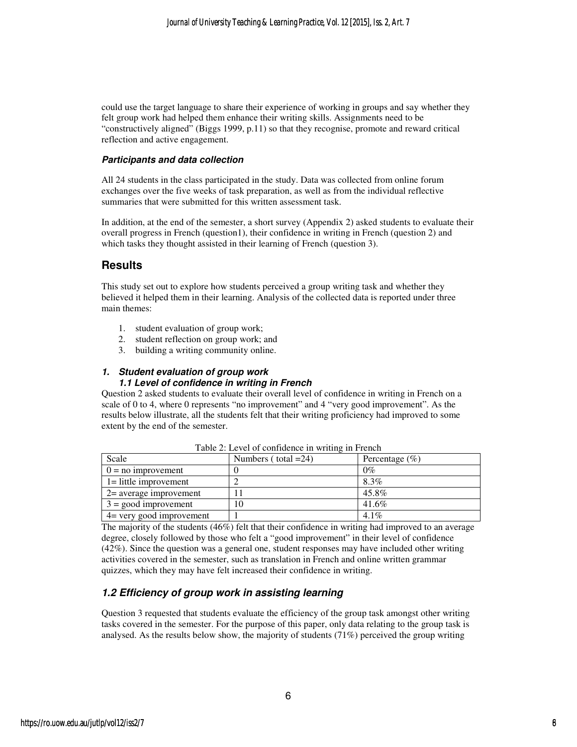could use the target language to share their experience of working in groups and say whether they felt group work had helped them enhance their writing skills. Assignments need to be "constructively aligned" (Biggs 1999, p.11) so that they recognise, promote and reward critical reflection and active engagement.

#### **Participants and data collection**

All 24 students in the class participated in the study. Data was collected from online forum exchanges over the five weeks of task preparation, as well as from the individual reflective summaries that were submitted for this written assessment task.

In addition, at the end of the semester, a short survey (Appendix 2) asked students to evaluate their overall progress in French (question1), their confidence in writing in French (question 2) and which tasks they thought assisted in their learning of French (question 3).

## **Results**

This study set out to explore how students perceived a group writing task and whether they believed it helped them in their learning. Analysis of the collected data is reported under three main themes:

- 1. student evaluation of group work;
- 2. student reflection on group work; and
- 3. building a writing community online.

#### **1. Student evaluation of group work 1.1 Level of confidence in writing in French**

Question 2 asked students to evaluate their overall level of confidence in writing in French on a scale of 0 to 4, where 0 represents "no improvement" and 4 "very good improvement". As the results below illustrate, all the students felt that their writing proficiency had improved to some extent by the end of the semester.

| Scale                     | Numbers ( $total = 24$ ) | Percentage $(\% )$ |
|---------------------------|--------------------------|--------------------|
| $0 = no$ improvement      |                          | $0\%$              |
| $1 =$ little improvement  |                          | 8.3%               |
| $2$ = average improvement |                          | 45.8%              |
| $3 =$ good improvement    | 10                       | 41.6%              |
| 4= very good improvement  |                          | $4.1\%$            |

Table 2: Level of confidence in writing in French

The majority of the students (46%) felt that their confidence in writing had improved to an average degree, closely followed by those who felt a "good improvement" in their level of confidence (42%). Since the question was a general one, student responses may have included other writing activities covered in the semester, such as translation in French and online written grammar quizzes, which they may have felt increased their confidence in writing.

## **1.2 Efficiency of group work in assisting learning**

Question 3 requested that students evaluate the efficiency of the group task amongst other writing tasks covered in the semester. For the purpose of this paper, only data relating to the group task is analysed. As the results below show, the majority of students (71%) perceived the group writing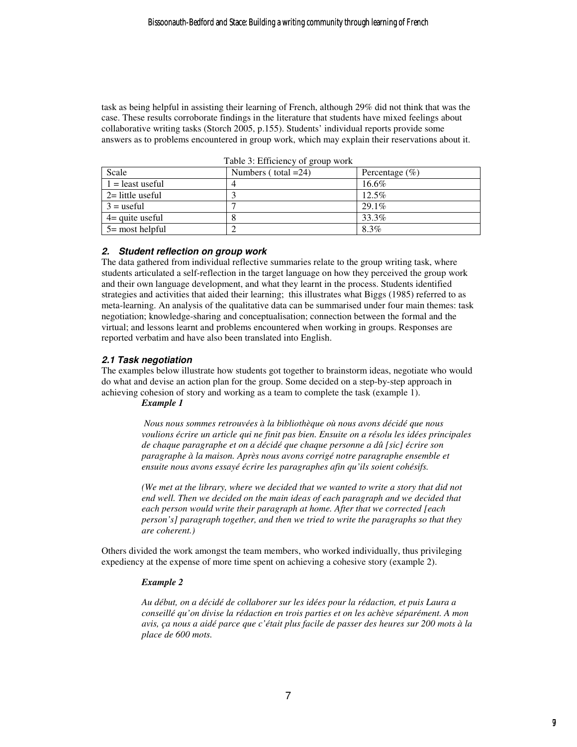task as being helpful in assisting their learning of French, although 29% did not think that was the case. These results corroborate findings in the literature that students have mixed feelings about collaborative writing tasks (Storch 2005, p.155). Students' individual reports provide some answers as to problems encountered in group work, which may explain their reservations about it.

| Scale              | Numbers ( $total = 24$ ) | Percentage $(\% )$ |
|--------------------|--------------------------|--------------------|
| $1 =$ least useful | 4                        | 16.6%              |
| $2=$ little useful |                          | 12.5%              |
| $3 =$ useful       |                          | 29.1%              |
| $4$ = quite useful |                          | 33.3%              |
| $5 =$ most helpful |                          | 8.3%               |

|  | Table 3: Efficiency of group work |  |  |  |
|--|-----------------------------------|--|--|--|
|--|-----------------------------------|--|--|--|

#### **2. Student reflection on group work**

The data gathered from individual reflective summaries relate to the group writing task, where students articulated a self-reflection in the target language on how they perceived the group work and their own language development, and what they learnt in the process. Students identified strategies and activities that aided their learning; this illustrates what Biggs (1985) referred to as meta-learning. An analysis of the qualitative data can be summarised under four main themes: task negotiation; knowledge-sharing and conceptualisation; connection between the formal and the virtual; and lessons learnt and problems encountered when working in groups. Responses are reported verbatim and have also been translated into English.

#### **2.1 Task negotiation**

The examples below illustrate how students got together to brainstorm ideas, negotiate who would do what and devise an action plan for the group. Some decided on a step-by-step approach in achieving cohesion of story and working as a team to complete the task (example 1).

#### *Example 1*

*Nous nous sommes retrouvées à la bibliothèque où nous avons décidé que nous voulions écrire un article qui ne finit pas bien. Ensuite on a résolu les idées principales de chaque paragraphe et on a décidé que chaque personne a dû [sic] écrire son paragraphe à la maison. Après nous avons corrigé notre paragraphe ensemble et ensuite nous avons essayé écrire les paragraphes afin qu'ils soient cohésifs.* 

*(We met at the library, where we decided that we wanted to write a story that did not end well. Then we decided on the main ideas of each paragraph and we decided that each person would write their paragraph at home. After that we corrected [each person's] paragraph together, and then we tried to write the paragraphs so that they are coherent.)* 

Others divided the work amongst the team members, who worked individually, thus privileging expediency at the expense of more time spent on achieving a cohesive story (example 2).

#### *Example 2*

*Au début, on a décidé de collaborer sur les idées pour la rédaction, et puis Laura a conseillé qu'on divise la rédaction en trois parties et on les achève séparément. A mon avis, ça nous a aidé parce que c'était plus facile de passer des heures sur 200 mots à la place de 600 mots.*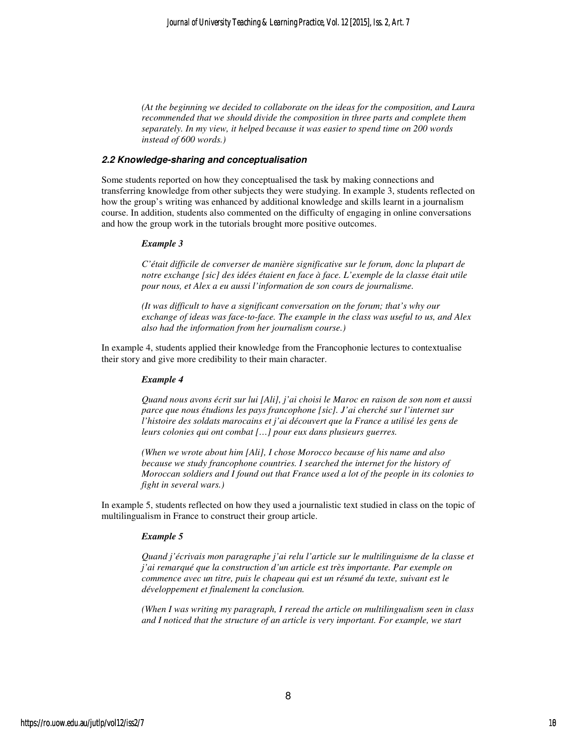*(At the beginning we decided to collaborate on the ideas for the composition, and Laura recommended that we should divide the composition in three parts and complete them separately. In my view, it helped because it was easier to spend time on 200 words instead of 600 words.)* 

#### **2.2 Knowledge-sharing and conceptualisation**

Some students reported on how they conceptualised the task by making connections and transferring knowledge from other subjects they were studying. In example 3, students reflected on how the group's writing was enhanced by additional knowledge and skills learnt in a journalism course. In addition, students also commented on the difficulty of engaging in online conversations and how the group work in the tutorials brought more positive outcomes.

#### *Example 3*

*C'était difficile de converser de manière significative sur le forum, donc la plupart de notre exchange [sic] des idées étaient en face à face. L'exemple de la classe était utile pour nous, et Alex a eu aussi l'information de son cours de journalisme.* 

*(It was difficult to have a significant conversation on the forum; that's why our exchange of ideas was face-to-face. The example in the class was useful to us, and Alex also had the information from her journalism course.)* 

In example 4, students applied their knowledge from the Francophonie lectures to contextualise their story and give more credibility to their main character.

#### *Example 4*

*Quand nous avons écrit sur lui [Ali], j'ai choisi le Maroc en raison de son nom et aussi parce que nous étudions les pays francophone [sic]. J'ai cherché sur l'internet sur l'histoire des soldats marocains et j'ai découvert que la France a utilisé les gens de leurs colonies qui ont combat […] pour eux dans plusieurs guerres.* 

*(When we wrote about him [Ali], I chose Morocco because of his name and also because we study francophone countries. I searched the internet for the history of Moroccan soldiers and I found out that France used a lot of the people in its colonies to fight in several wars.)* 

In example 5, students reflected on how they used a journalistic text studied in class on the topic of multilingualism in France to construct their group article.

#### *Example 5*

*Quand j'écrivais mon paragraphe j'ai relu l'article sur le multilinguisme de la classe et j'ai remarqué que la construction d'un article est très importante. Par exemple on commence avec un titre, puis le chapeau qui est un résumé du texte, suivant est le développement et finalement la conclusion.* 

*(When I was writing my paragraph, I reread the article on multilingualism seen in class and I noticed that the structure of an article is very important. For example, we start*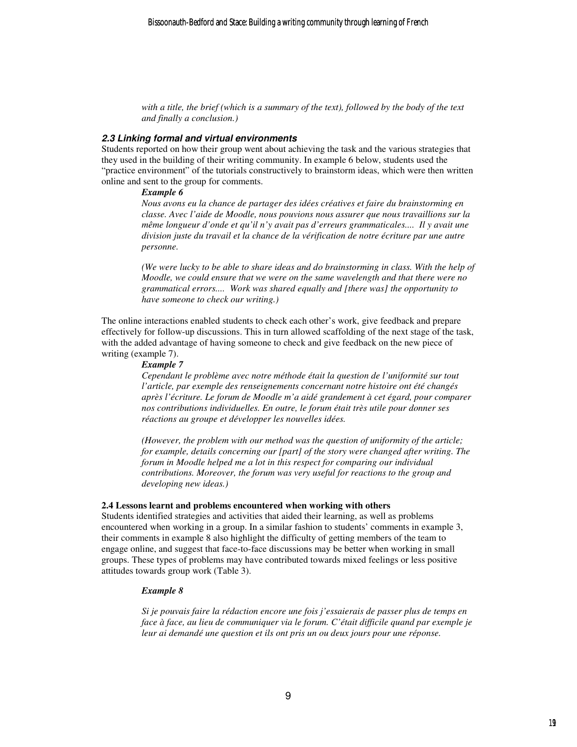*with a title, the brief (which is a summary of the text), followed by the body of the text and finally a conclusion.)* 

#### **2.3 Linking formal and virtual environments**

Students reported on how their group went about achieving the task and the various strategies that they used in the building of their writing community. In example 6 below, students used the "practice environment" of the tutorials constructively to brainstorm ideas, which were then written online and sent to the group for comments.

#### *Example 6*

*Nous avons eu la chance de partager des idées créatives et faire du brainstorming en classe. Avec l'aide de Moodle, nous pouvions nous assurer que nous travaillions sur la même longueur d'onde et qu'il n'y avait pas d'erreurs grammaticales.... Il y avait une division juste du travail et la chance de la vérification de notre écriture par une autre personne.* 

*(We were lucky to be able to share ideas and do brainstorming in class. With the help of Moodle, we could ensure that we were on the same wavelength and that there were no grammatical errors.... Work was shared equally and [there was] the opportunity to have someone to check our writing.)* 

The online interactions enabled students to check each other's work, give feedback and prepare effectively for follow-up discussions. This in turn allowed scaffolding of the next stage of the task, with the added advantage of having someone to check and give feedback on the new piece of writing (example 7).

#### *Example 7*

*Cependant le problème avec notre méthode était la question de l'uniformité sur tout l'article, par exemple des renseignements concernant notre histoire ont été changés après l'écriture. Le forum de Moodle m'a aidé grandement à cet égard, pour comparer nos contributions individuelles. En outre, le forum était très utile pour donner ses réactions au groupe et développer les nouvelles idées.* 

*(However, the problem with our method was the question of uniformity of the article; for example, details concerning our [part] of the story were changed after writing. The forum in Moodle helped me a lot in this respect for comparing our individual contributions. Moreover, the forum was very useful for reactions to the group and developing new ideas.)* 

#### **2.4 Lessons learnt and problems encountered when working with others**

Students identified strategies and activities that aided their learning, as well as problems encountered when working in a group. In a similar fashion to students' comments in example 3, their comments in example 8 also highlight the difficulty of getting members of the team to engage online, and suggest that face-to-face discussions may be better when working in small groups. These types of problems may have contributed towards mixed feelings or less positive attitudes towards group work (Table 3).

#### *Example 8*

*Si je pouvais faire la rédaction encore une fois j'essaierais de passer plus de temps en face à face, au lieu de communiquer via le forum. C'était difficile quand par exemple je leur ai demandé une question et ils ont pris un ou deux jours pour une réponse.*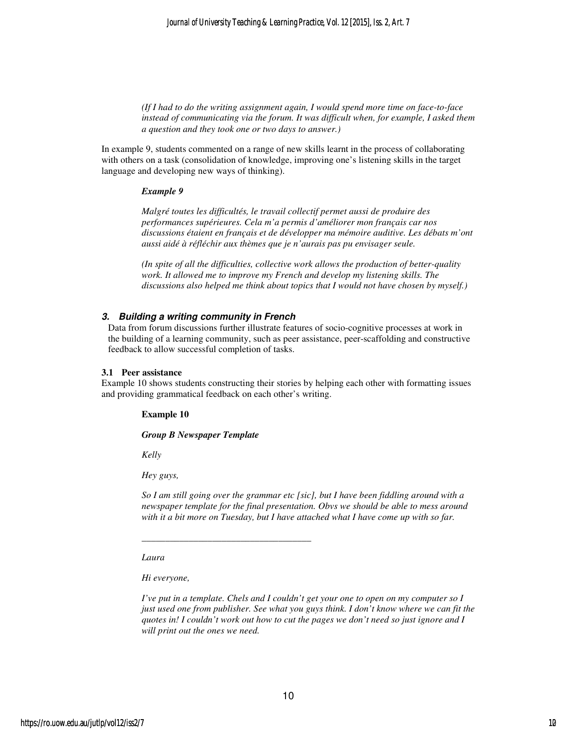*(If I had to do the writing assignment again, I would spend more time on face-to-face instead of communicating via the forum. It was difficult when, for example, I asked them a question and they took one or two days to answer.)* 

In example 9, students commented on a range of new skills learnt in the process of collaborating with others on a task (consolidation of knowledge, improving one's listening skills in the target language and developing new ways of thinking).

#### *Example 9*

*Malgré toutes les difficultés, le travail collectif permet aussi de produire des performances supérieures. Cela m'a permis d'améliorer mon français car nos discussions étaient en français et de développer ma mémoire auditive. Les débats m'ont aussi aidé à réfléchir aux thèmes que je n'aurais pas pu envisager seule.* 

*(In spite of all the difficulties, collective work allows the production of better-quality work. It allowed me to improve my French and develop my listening skills. The discussions also helped me think about topics that I would not have chosen by myself.)* 

#### **3. Building a writing community in French**

Data from forum discussions further illustrate features of socio-cognitive processes at work in the building of a learning community, such as peer assistance, peer-scaffolding and constructive feedback to allow successful completion of tasks.

#### **3.1 Peer assistance**

Example 10 shows students constructing their stories by helping each other with formatting issues and providing grammatical feedback on each other's writing.

#### **Example 10**

#### *Group B Newspaper Template*

*\_\_\_\_\_\_\_\_\_\_\_\_\_\_\_\_\_\_\_\_\_\_\_\_\_\_\_\_\_\_\_\_\_\_\_\_* 

*Kelly* 

*Hey guys,* 

*So I am still going over the grammar etc [sic], but I have been fiddling around with a newspaper template for the final presentation. Obvs we should be able to mess around with it a bit more on Tuesday, but I have attached what I have come up with so far.* 

*Laura* 

*Hi everyone,* 

*I've put in a template. Chels and I couldn't get your one to open on my computer so I just used one from publisher. See what you guys think. I don't know where we can fit the quotes in! I couldn't work out how to cut the pages we don't need so just ignore and I will print out the ones we need.*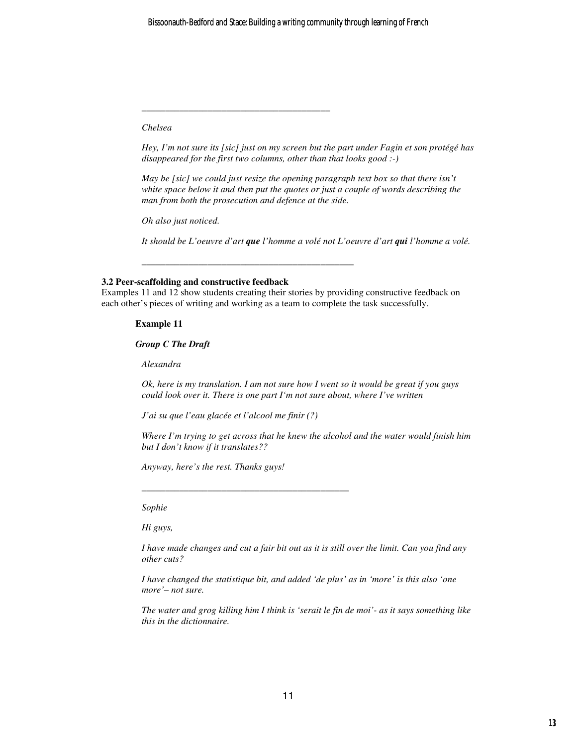*Chelsea* 

*Hey, I'm not sure its [sic] just on my screen but the part under Fagin et son protégé has disappeared for the first two columns, other than that looks good :-)* 

*May be [sic] we could just resize the opening paragraph text box so that there isn't white space below it and then put the quotes or just a couple of words describing the man from both the prosecution and defence at the side.* 

*Oh also just noticed.* 

*It should be L'oeuvre d'art que l'homme a volé not L'oeuvre d'art qui l'homme a volé.* 

#### **3.2 Peer-scaffolding and constructive feedback**

Examples 11 and 12 show students creating their stories by providing constructive feedback on each other's pieces of writing and working as a team to complete the task successfully.

*\_\_\_\_\_\_\_\_\_\_\_\_\_\_\_\_\_\_\_\_\_\_\_\_\_\_\_\_\_\_\_\_\_\_\_\_\_\_\_\_\_\_\_\_\_* 

#### **Example 11**

*Group C The Draft* 

*Alexandra* 

*Ok, here is my translation. I am not sure how I went so it would be great if you guys could look over it. There is one part I'm not sure about, where I've written* 

*J'ai su que l'eau glacée et l'alcool me finir (?)* 

*\_\_\_\_\_\_\_\_\_\_\_\_\_\_\_\_\_\_\_\_\_\_\_\_\_\_\_\_\_\_\_\_\_\_\_\_\_\_\_\_\_\_\_\_* 

*\_\_\_\_\_\_\_\_\_\_\_\_\_\_\_\_\_\_\_\_\_\_\_\_\_\_\_\_\_\_\_\_\_\_\_\_\_\_\_\_* 

*Where I'm trying to get across that he knew the alcohol and the water would finish him but I don't know if it translates??* 

*Anyway, here's the rest. Thanks guys!* 

*Sophie* 

*Hi guys,* 

*I have made changes and cut a fair bit out as it is still over the limit. Can you find any other cuts?* 

*I have changed the statistique bit, and added 'de plus' as in 'more' is this also 'one more'– not sure.* 

*The water and grog killing him I think is 'serait le fin de moi'- as it says something like this in the dictionnaire.*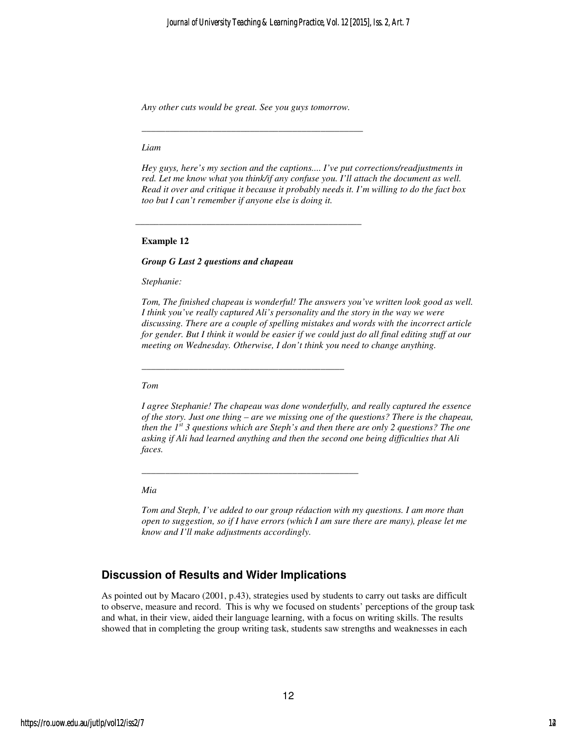*Any other cuts would be great. See you guys tomorrow.* 

*\_\_\_\_\_\_\_\_\_\_\_\_\_\_\_\_\_\_\_\_\_\_\_\_\_\_\_\_\_\_\_\_\_\_\_\_\_\_\_\_\_\_\_\_\_\_\_* 

\_\_\_\_\_\_\_\_\_\_\_\_\_\_\_\_\_\_\_\_\_\_\_\_\_\_\_\_\_\_\_\_\_\_\_\_\_\_\_\_\_\_\_\_\_\_\_\_

*\_\_\_\_\_\_\_\_\_\_\_\_\_\_\_\_\_\_\_\_\_\_\_\_\_\_\_\_\_\_\_\_\_\_\_\_\_\_\_\_\_\_\_* 

*\_\_\_\_\_\_\_\_\_\_\_\_\_\_\_\_\_\_\_\_\_\_\_\_\_\_\_\_\_\_\_\_\_\_\_\_\_\_\_\_\_\_\_\_\_\_* 

#### *Liam*

*Hey guys, here's my section and the captions.... I've put corrections/readjustments in red. Let me know what you think/if any confuse you. I'll attach the document as well. Read it over and critique it because it probably needs it. I'm willing to do the fact box too but I can't remember if anyone else is doing it.* 

#### **Example 12**

#### *Group G Last 2 questions and chapeau*

*Stephanie:* 

*Tom, The finished chapeau is wonderful! The answers you've written look good as well. I think you've really captured Ali's personality and the story in the way we were discussing. There are a couple of spelling mistakes and words with the incorrect article for gender. But I think it would be easier if we could just do all final editing stuff at our meeting on Wednesday. Otherwise, I don't think you need to change anything.* 

#### *Tom*

*I agree Stephanie! The chapeau was done wonderfully, and really captured the essence of the story. Just one thing – are we missing one of the questions? There is the chapeau, then the 1st 3 questions which are Steph's and then there are only 2 questions? The one asking if Ali had learned anything and then the second one being difficulties that Ali faces.* 

#### *Mia*

*Tom and Steph, I've added to our group rédaction with my questions. I am more than open to suggestion, so if I have errors (which I am sure there are many), please let me know and I'll make adjustments accordingly.* 

### **Discussion of Results and Wider Implications**

As pointed out by Macaro (2001, p.43), strategies used by students to carry out tasks are difficult to observe, measure and record. This is why we focused on students' perceptions of the group task and what, in their view, aided their language learning, with a focus on writing skills. The results showed that in completing the group writing task, students saw strengths and weaknesses in each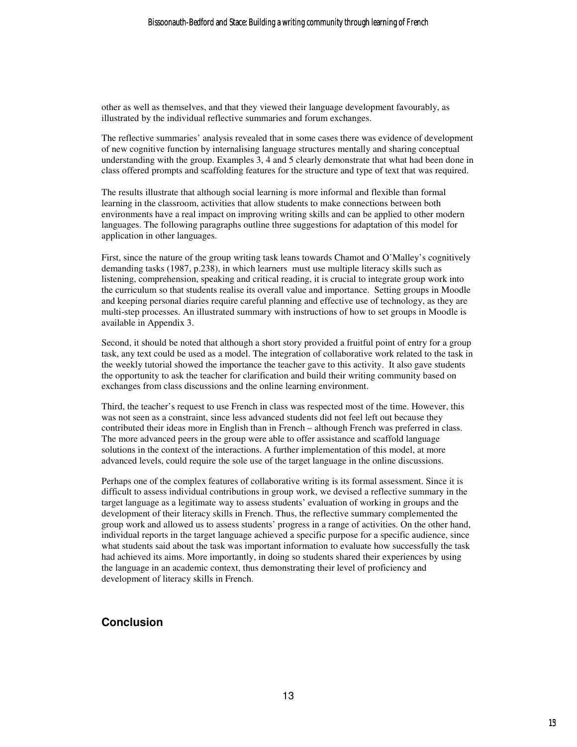other as well as themselves, and that they viewed their language development favourably, as illustrated by the individual reflective summaries and forum exchanges.

The reflective summaries' analysis revealed that in some cases there was evidence of development of new cognitive function by internalising language structures mentally and sharing conceptual understanding with the group. Examples 3, 4 and 5 clearly demonstrate that what had been done in class offered prompts and scaffolding features for the structure and type of text that was required.

The results illustrate that although social learning is more informal and flexible than formal learning in the classroom, activities that allow students to make connections between both environments have a real impact on improving writing skills and can be applied to other modern languages. The following paragraphs outline three suggestions for adaptation of this model for application in other languages.

First, since the nature of the group writing task leans towards Chamot and O'Malley's cognitively demanding tasks (1987, p.238), in which learners must use multiple literacy skills such as listening, comprehension, speaking and critical reading, it is crucial to integrate group work into the curriculum so that students realise its overall value and importance. Setting groups in Moodle and keeping personal diaries require careful planning and effective use of technology, as they are multi-step processes. An illustrated summary with instructions of how to set groups in Moodle is available in Appendix 3.

Second, it should be noted that although a short story provided a fruitful point of entry for a group task, any text could be used as a model. The integration of collaborative work related to the task in the weekly tutorial showed the importance the teacher gave to this activity. It also gave students the opportunity to ask the teacher for clarification and build their writing community based on exchanges from class discussions and the online learning environment.

Third, the teacher's request to use French in class was respected most of the time. However, this was not seen as a constraint, since less advanced students did not feel left out because they contributed their ideas more in English than in French – although French was preferred in class. The more advanced peers in the group were able to offer assistance and scaffold language solutions in the context of the interactions. A further implementation of this model, at more advanced levels, could require the sole use of the target language in the online discussions.

Perhaps one of the complex features of collaborative writing is its formal assessment. Since it is difficult to assess individual contributions in group work, we devised a reflective summary in the target language as a legitimate way to assess students' evaluation of working in groups and the development of their literacy skills in French. Thus, the reflective summary complemented the group work and allowed us to assess students' progress in a range of activities. On the other hand, individual reports in the target language achieved a specific purpose for a specific audience, since what students said about the task was important information to evaluate how successfully the task had achieved its aims. More importantly, in doing so students shared their experiences by using the language in an academic context, thus demonstrating their level of proficiency and development of literacy skills in French.

## **Conclusion**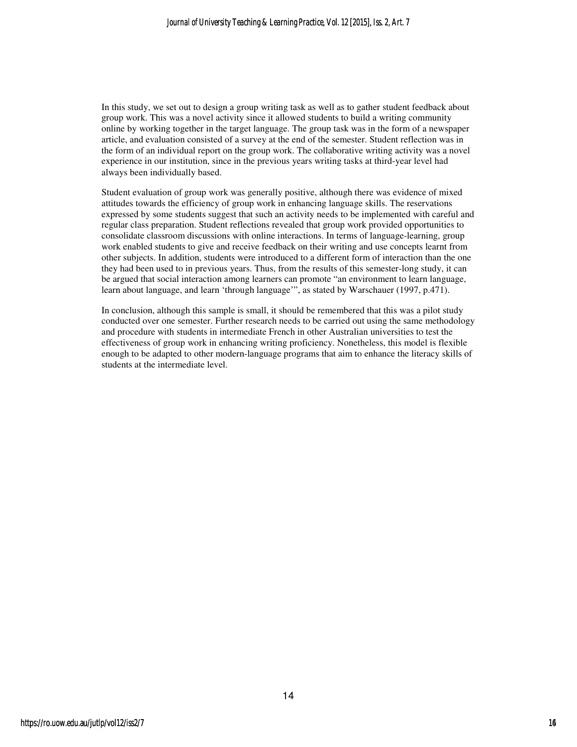In this study, we set out to design a group writing task as well as to gather student feedback about group work. This was a novel activity since it allowed students to build a writing community online by working together in the target language. The group task was in the form of a newspaper article, and evaluation consisted of a survey at the end of the semester. Student reflection was in the form of an individual report on the group work. The collaborative writing activity was a novel experience in our institution, since in the previous years writing tasks at third-year level had always been individually based.

Student evaluation of group work was generally positive, although there was evidence of mixed attitudes towards the efficiency of group work in enhancing language skills. The reservations expressed by some students suggest that such an activity needs to be implemented with careful and regular class preparation. Student reflections revealed that group work provided opportunities to consolidate classroom discussions with online interactions. In terms of language-learning, group work enabled students to give and receive feedback on their writing and use concepts learnt from other subjects. In addition, students were introduced to a different form of interaction than the one they had been used to in previous years. Thus, from the results of this semester-long study, it can be argued that social interaction among learners can promote "an environment to learn language, learn about language, and learn 'through language'", as stated by Warschauer (1997, p.471).

In conclusion, although this sample is small, it should be remembered that this was a pilot study conducted over one semester. Further research needs to be carried out using the same methodology and procedure with students in intermediate French in other Australian universities to test the effectiveness of group work in enhancing writing proficiency. Nonetheless, this model is flexible enough to be adapted to other modern-language programs that aim to enhance the literacy skills of students at the intermediate level.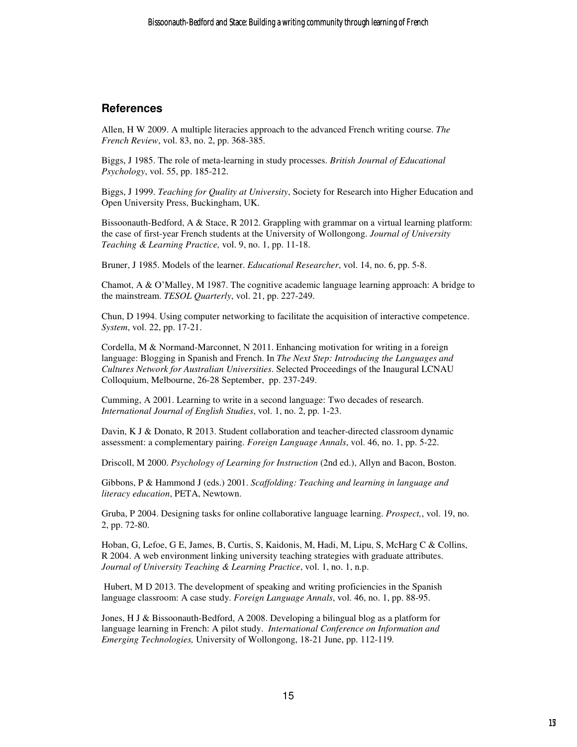## **References**

Allen, H W 2009. A multiple literacies approach to the advanced French writing course. *The French Review*, vol. 83, no. 2, pp. 368-385.

Biggs, J 1985. The role of meta-learning in study processes. *British Journal of Educational Psychology*, vol. 55, pp. 185-212.

Biggs, J 1999. *Teaching for Quality at University*, Society for Research into Higher Education and Open University Press, Buckingham, UK.

Bissoonauth-Bedford, A & Stace, R 2012. Grappling with grammar on a virtual learning platform: the case of first-year French students at the University of Wollongong. *Journal of University Teaching & Learning Practice,* vol. 9, no. 1, pp. 11-18.

Bruner, J 1985. Models of the learner. *Educational Researcher*, vol. 14, no. 6, pp. 5-8.

Chamot, A & O'Malley, M 1987. The cognitive academic language learning approach: A bridge to the mainstream. *TESOL Quarterly*, vol. 21, pp. 227-249.

Chun, D 1994. Using computer networking to facilitate the acquisition of interactive competence. *System*, vol. 22, pp. 17-21.

Cordella, M & Normand-Marconnet, N 2011. Enhancing motivation for writing in a foreign language: Blogging in Spanish and French. In *The Next Step: Introducing the Languages and Cultures Network for Australian Universities*. Selected Proceedings of the Inaugural LCNAU Colloquium, Melbourne, 26-28 September, pp. 237-249.

Cumming, A 2001. Learning to write in a second language: Two decades of research. *International Journal of English Studies*, vol. 1, no. 2, pp. 1-23.

Davin, K J & Donato, R 2013. Student collaboration and teacher-directed classroom dynamic assessment: a complementary pairing. *Foreign Language Annals*, vol. 46, no. 1, pp. 5-22.

Driscoll, M 2000. *Psychology of Learning for Instruction* (2nd ed.), Allyn and Bacon, Boston.

Gibbons, P & Hammond J (eds.) 2001. *Scaffolding: Teaching and learning in language and literacy education*, PETA, Newtown.

Gruba, P 2004. Designing tasks for online collaborative language learning. *Prospect,*, vol. 19, no. 2, pp. 72-80.

Hoban, G, Lefoe, G E, James, B, Curtis, S, Kaidonis, M, Hadi, M, Lipu, S, McHarg C & Collins, R 2004. A web environment linking university teaching strategies with graduate attributes. *Journal of University Teaching & Learning Practice*, vol. 1, no. 1, n.p.

 Hubert, M D 2013. The development of speaking and writing proficiencies in the Spanish language classroom: A case study. *Foreign Language Annals*, vol. 46, no. 1, pp. 88-95.

Jones, H J & Bissoonauth-Bedford, A 2008. Developing a bilingual blog as a platform for language learning in French: A pilot study. *International Conference on Information and Emerging Technologies,* University of Wollongong, 18-21 June, pp. 112-119*.*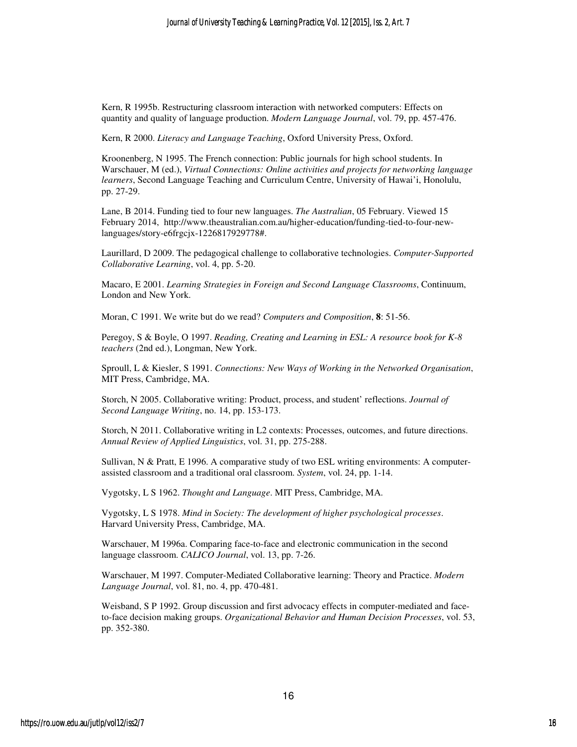Kern, R 1995b. Restructuring classroom interaction with networked computers: Effects on quantity and quality of language production. *Modern Language Journal*, vol. 79, pp. 457-476.

Kern, R 2000. *Literacy and Language Teaching*, Oxford University Press, Oxford.

Kroonenberg, N 1995. The French connection: Public journals for high school students. In Warschauer, M (ed.), *Virtual Connections: Online activities and projects for networking language learners*, Second Language Teaching and Curriculum Centre, University of Hawai'i, Honolulu, pp. 27-29.

Lane, B 2014. Funding tied to four new languages. *The Australian*, 05 February. Viewed 15 February 2014, http://www.theaustralian.com.au/higher-education/funding-tied-to-four-newlanguages/story-e6frgcjx-1226817929778#.

Laurillard, D 2009. The pedagogical challenge to collaborative technologies. *Computer-Supported Collaborative Learning*, vol. 4, pp. 5-20.

Macaro, E 2001. *Learning Strategies in Foreign and Second Language Classrooms*, Continuum, London and New York.

Moran, C 1991. We write but do we read? *Computers and Composition*, **8**: 51-56.

Peregoy, S & Boyle, O 1997. *Reading, Creating and Learning in ESL: A resource book for K-8 teachers* (2nd ed.), Longman, New York.

Sproull, L & Kiesler, S 1991. *Connections: New Ways of Working in the Networked Organisation*, MIT Press, Cambridge, MA.

Storch, N 2005. Collaborative writing: Product, process, and student' reflections. *Journal of Second Language Writing*, no. 14, pp. 153-173.

Storch, N 2011. Collaborative writing in L2 contexts: Processes, outcomes, and future directions. *Annual Review of Applied Linguistics*, vol. 31, pp. 275-288.

Sullivan, N & Pratt, E 1996. A comparative study of two ESL writing environments: A computerassisted classroom and a traditional oral classroom. *System*, vol. 24, pp. 1-14.

Vygotsky, L S 1962. *Thought and Language*. MIT Press, Cambridge, MA.

Vygotsky, L S 1978. *Mind in Society: The development of higher psychological processes*. Harvard University Press, Cambridge, MA.

Warschauer, M 1996a. Comparing face-to-face and electronic communication in the second language classroom. *CALICO Journal*, vol. 13, pp. 7-26.

Warschauer, M 1997. Computer-Mediated Collaborative learning: Theory and Practice. *Modern Language Journal*, vol. 81, no. 4, pp. 470-481.

Weisband, S P 1992. Group discussion and first advocacy effects in computer-mediated and faceto-face decision making groups. *Organizational Behavior and Human Decision Processes*, vol. 53, pp. 352-380.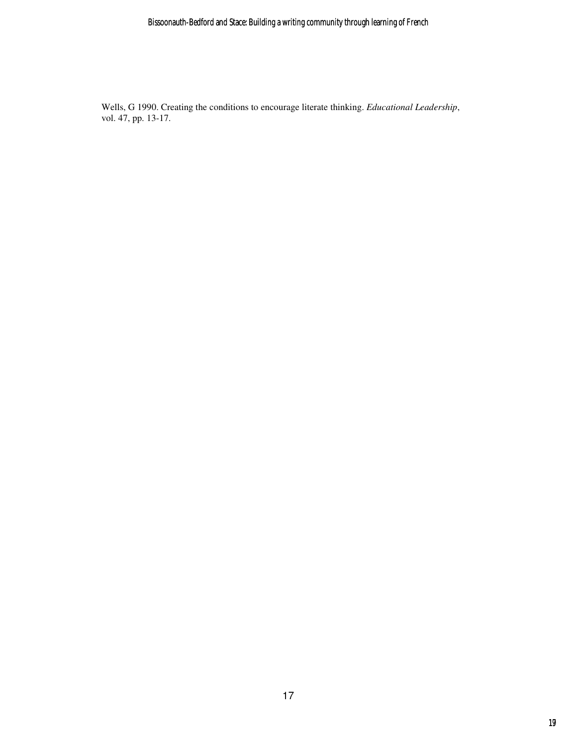Wells, G 1990. Creating the conditions to encourage literate thinking. *Educational Leadership*, vol. 47, pp. 13-17.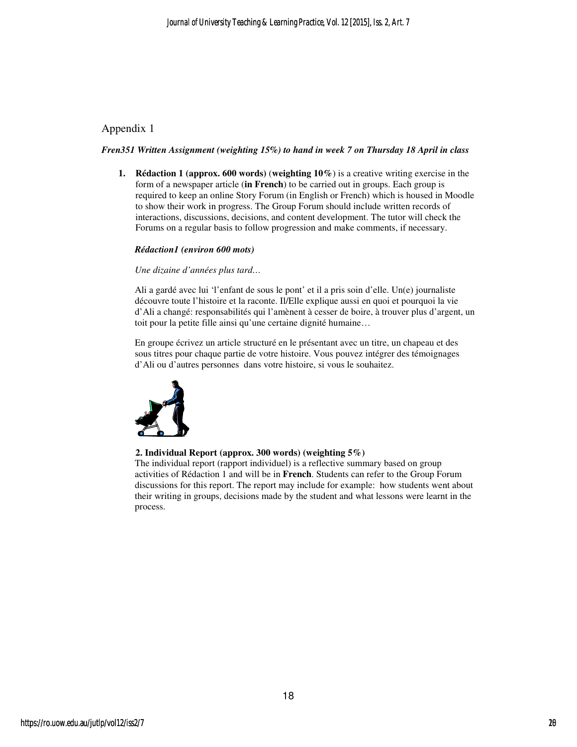## Appendix 1

#### *Fren351 Written Assignment (weighting 15%) to hand in week 7 on Thursday 18 April in class*

**1. Rédaction 1 (approx. 600 words)** (**weighting 10%**) is a creative writing exercise in the form of a newspaper article (**in French**) to be carried out in groups. Each group is required to keep an online Story Forum (in English or French) which is housed in Moodle to show their work in progress. The Group Forum should include written records of interactions, discussions, decisions, and content development. The tutor will check the Forums on a regular basis to follow progression and make comments, if necessary.

#### *Rédaction1 (environ 600 mots)*

#### *Une dizaine d'années plus tard…*

Ali a gardé avec lui 'l'enfant de sous le pont' et il a pris soin d'elle. Un(e) journaliste découvre toute l'histoire et la raconte. Il/Elle explique aussi en quoi et pourquoi la vie d'Ali a changé: responsabilités qui l'amènent à cesser de boire, à trouver plus d'argent, un toit pour la petite fille ainsi qu'une certaine dignité humaine…

En groupe écrivez un article structuré en le présentant avec un titre, un chapeau et des sous titres pour chaque partie de votre histoire. Vous pouvez intégrer des témoignages d'Ali ou d'autres personnes dans votre histoire, si vous le souhaitez.



#### **2. Individual Report (approx. 300 words) (weighting 5%)**

The individual report (rapport individuel) is a reflective summary based on group activities of Rédaction 1 and will be in **French**. Students can refer to the Group Forum discussions for this report. The report may include for example: how students went about their writing in groups, decisions made by the student and what lessons were learnt in the process.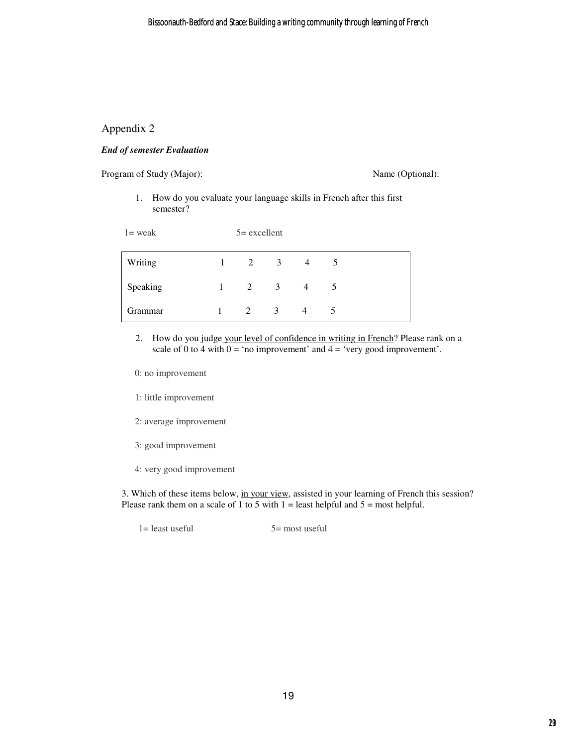### Appendix 2

#### *End of semester Evaluation*

Program of Study (Major): Name (Optional):

1. How do you evaluate your language skills in French after this first semester?

| $l$ = weak | $5 =$ excellent |               |                         |                |   |
|------------|-----------------|---------------|-------------------------|----------------|---|
| Writing    | 1               | 2             | - 3                     | $\overline{4}$ |   |
| Speaking   | 1               | 2             | $\overline{\mathbf{3}}$ | $\overline{4}$ | 5 |
| Grammar    |                 | $\mathcal{L}$ | $\mathcal{E}$           | 4              | 5 |

2. How do you judge your level of confidence in writing in French? Please rank on a scale of 0 to 4 with  $0 = \text{`no improvement' and } 4 = \text{`very good improvement'}.$ 

0: no improvement

- 1: little improvement
- 2: average improvement
- 3: good improvement
- 4: very good improvement

3. Which of these items below, in your view, assisted in your learning of French this session? Please rank them on a scale of 1 to 5 with  $1 =$  least helpful and  $5 =$  most helpful.

 $1 =$  least useful  $5 =$  most useful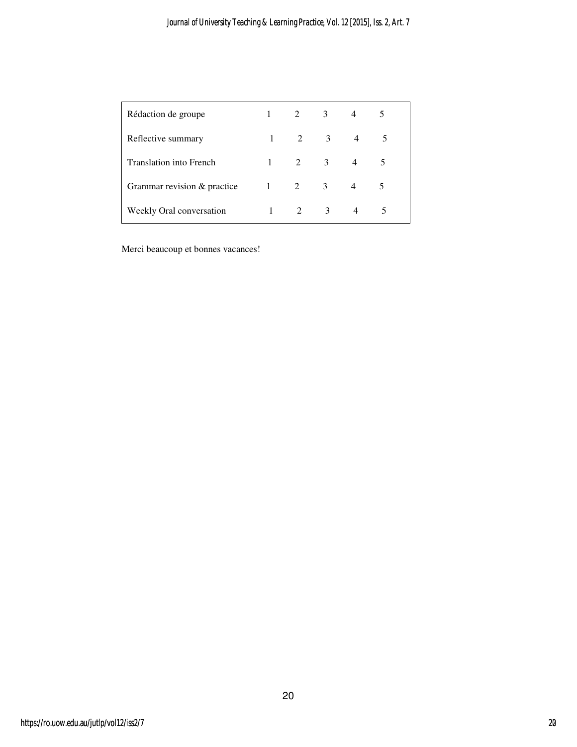| Rédaction de groupe            |   | 2              | 3                       | 4              |   |
|--------------------------------|---|----------------|-------------------------|----------------|---|
| Reflective summary             |   | $1 \t 2$       | $\overline{\mathbf{3}}$ | $\overline{4}$ | 5 |
| <b>Translation into French</b> | 1 | $\overline{2}$ | 3                       |                |   |
| Grammar revision & practice    |   | $\overline{2}$ | 3                       | 4              |   |
| Weekly Oral conversation       |   | 2              | 3                       | 4              | 5 |

Merci beaucoup et bonnes vacances!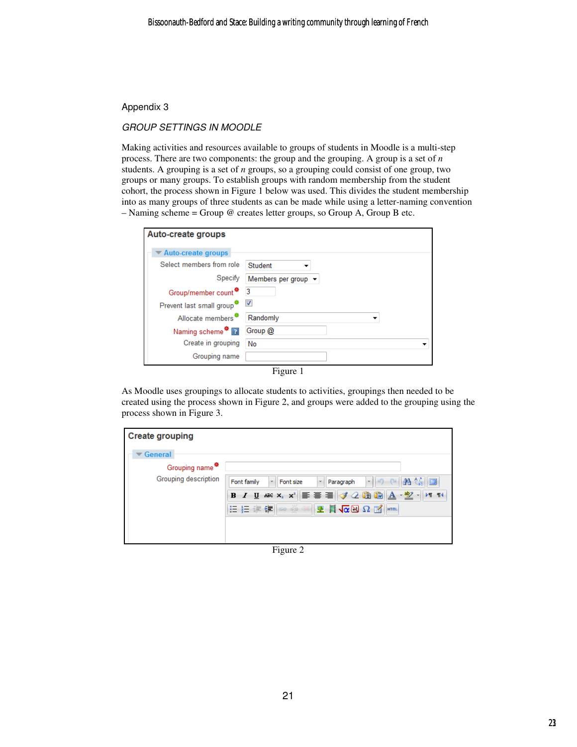#### Appendix 3

### GROUP SETTINGS IN MOODLE

Making activities and resources available to groups of students in Moodle is a multi-step process. There are two components: the group and the grouping. A group is a set of *n* students. A grouping is a set of *n* groups, so a grouping could consist of one group, two groups or many groups. To establish groups with random membership from the student cohort, the process shown in Figure 1 below was used. This divides the student membership into as many groups of three students as can be made while using a letter-naming convention – Naming scheme = Group @ creates letter groups, so Group A, Group B etc.

| Auto-create groups                    |                                         |
|---------------------------------------|-----------------------------------------|
| <b>Auto-create groups</b>             |                                         |
| Select members from role              | Student                                 |
| Specify                               | Members per group $\blacktriangleright$ |
| Group/member count <sup>*</sup> 3     |                                         |
| Prevent last small group <sup>*</sup> |                                         |
| Allocate members <sup>*</sup>         | Randomly                                |
| Naming scheme <sup>*</sup> <b>■</b>   | Group @                                 |
| Create in grouping                    | No                                      |
| Grouping name                         |                                         |
|                                       | $\Gamma$ iouro 1                        |

Figure 1

As Moodle uses groupings to allocate students to activities, groupings then needed to be created using the process shown in Figure 2, and groups were added to the grouping using the process shown in Figure 3.

| <b>Create grouping</b>      |                                                                                                                            |
|-----------------------------|----------------------------------------------------------------------------------------------------------------------------|
| General                     |                                                                                                                            |
| Grouping name <sup>**</sup> |                                                                                                                            |
| Grouping description        | 28 16<br>io<br>$100 - 124$<br>÷<br>÷.<br>Font family<br>$\sim$<br>Paragraph<br>Font size                                   |
|                             | $I$ $\underline{U}$ and $x_i$ $x^i$ $\equiv$ $\equiv$ $\equiv$ $\sqrt{2 \ln \ln  A \cdot \frac{dy}{dx}}$ .<br>$FT$ T4<br>B |
|                             | 拒有理 の後の<br>图 日 位因 ひ 国<br><b>HTML</b>                                                                                       |
|                             |                                                                                                                            |
|                             |                                                                                                                            |

Figure 2